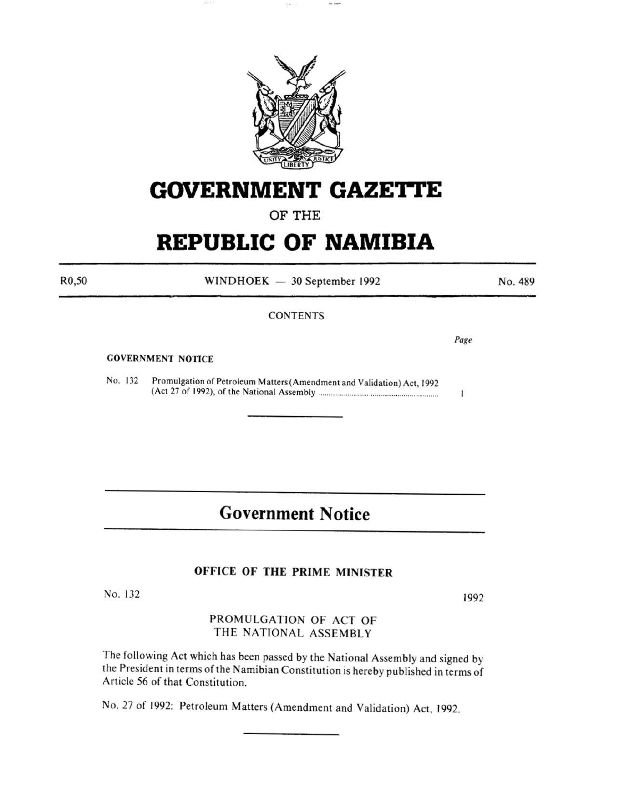

# **GOVERNMENT GAZETTE**

### OF THE

# **REPUBLIC OF NAMIBIA**

R0,50

WINDHOEK - 30 September 1992

#### **CONTENTS**

Page

No. 489

#### GOVERNMENT NOTICE

No. 132 Promulgation of Petroleum Matters (Amendment and Validation) Act, 1992 (Act 27 of 1992), of the National Assembly ........ ...................... .......................... .

## **Government Notice**

#### OFFICE OF THE PRIME MINISTER

No. 132

1992

PROMULGATION OF ACT OF THE NATIONAL ASSEMBLY

The following Act which has been passed by the National Assembly and signed by the President in terms of the Namibian Constitution is hereby published in terms of Article 56 of that Constitution.

No. 27 of 1992: Petroleum Matters (Amendment and Validation) Act. 1992.

 $\mathbf{1}$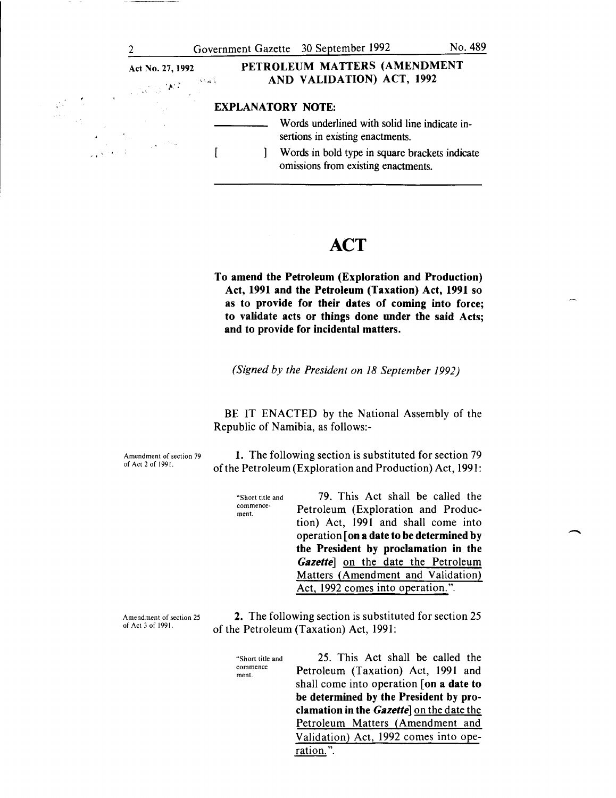-



### **ACT**

To amend the Petroleum (Exploration and Production) Act, 1991 and the Petroleum (Taxation) Act, 1991 so as to provide for their dates of coming into force; to validate acts or things done under the said Acts; and to provide for incidental matters.

*(Signed by the President on 18 September 1992)* 

BE IT ENACTED by the National Assembly of the Republic of Namibia, as follows:-

Amendment of section 79 of Act 2 of 1991.

1. The following section is substituted for section 79 of the Petroleum (Exploration and Production) Act, 1991:

| "Short title and<br>commence-<br>ment. | 79. This Act shall be called the         |
|----------------------------------------|------------------------------------------|
|                                        | Petroleum (Exploration and Produc-       |
|                                        | tion) Act, 1991 and shall come into      |
|                                        | operation [on a date to be determined by |
|                                        | the President by proclamation in the     |
|                                        | Gazettel on the date the Petroleum       |
|                                        | Matters (Amendment and Validation)       |
|                                        | Act, 1992 comes into operation.".        |

Amendment of section 25 of Act 3 of 1991.

2. The following section is substituted for section 25 of the Petroleum (Taxation) Act, 1991:

"Short title and commence ment.

25. This Act shall be called the Petroleum (Taxation) Act, 1991 and shall come into operation [on a date to be determined by the President by proclamation in the *Gazette]* on the date the Petroleum Matters (Amendment and Validation) Act, 1992 comes into operation.".